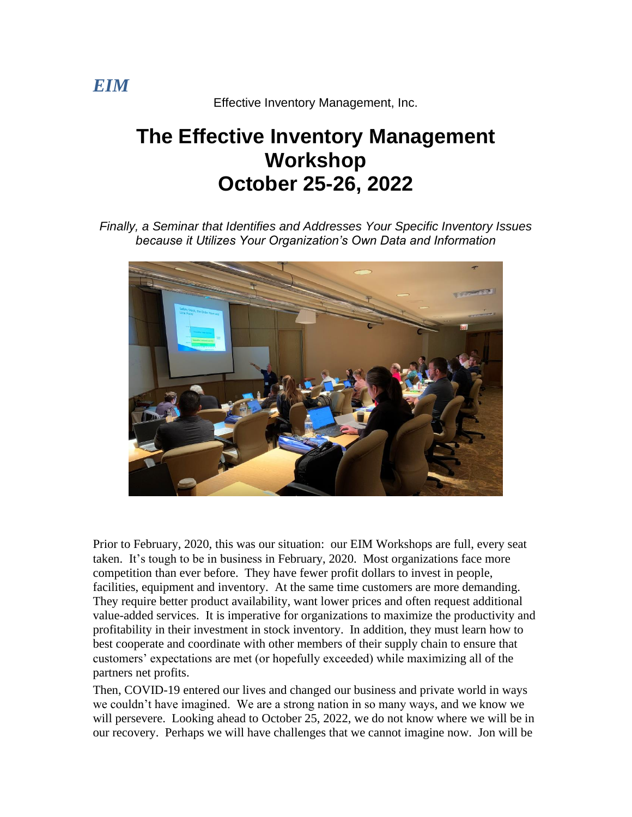Effective Inventory Management, Inc.

# **The Effective Inventory Management Workshop October 25-26, 2022**

*Finally, a Seminar that Identifies and Addresses Your Specific Inventory Issues because it Utilizes Your Organization's Own Data and Information*



Prior to February, 2020, this was our situation: our EIM Workshops are full, every seat taken. It's tough to be in business in February, 2020. Most organizations face more competition than ever before. They have fewer profit dollars to invest in people, facilities, equipment and inventory. At the same time customers are more demanding. They require better product availability, want lower prices and often request additional value-added services. It is imperative for organizations to maximize the productivity and profitability in their investment in stock inventory. In addition, they must learn how to best cooperate and coordinate with other members of their supply chain to ensure that customers' expectations are met (or hopefully exceeded) while maximizing all of the partners net profits.

Then, COVID-19 entered our lives and changed our business and private world in ways we couldn't have imagined. We are a strong nation in so many ways, and we know we will persevere. Looking ahead to October 25, 2022, we do not know where we will be in our recovery. Perhaps we will have challenges that we cannot imagine now. Jon will be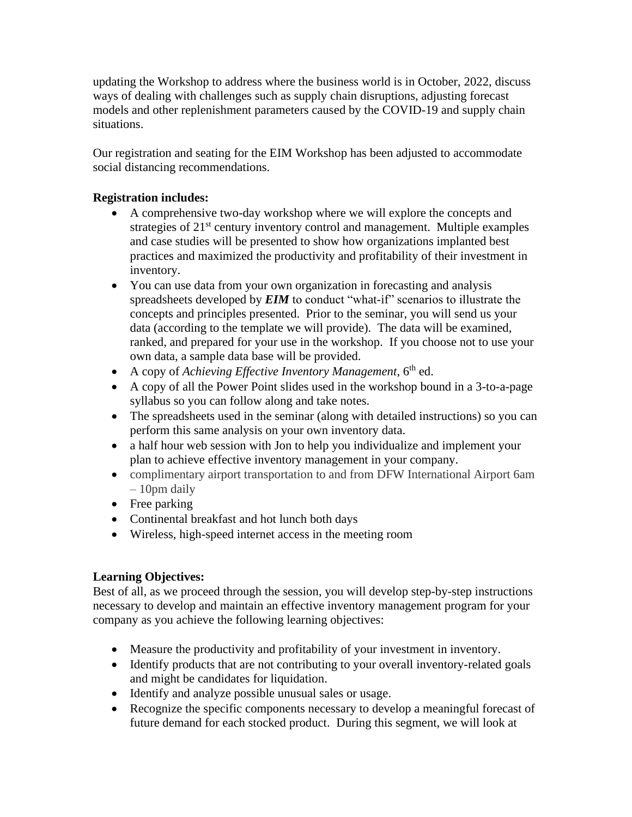updating the Workshop to address where the business world is in October, 2022, discuss ways of dealing with challenges such as supply chain disruptions, adjusting forecast models and other replenishment parameters caused by the COVID-19 and supply chain situations.

Our registration and seating for the EIM Workshop has been adjusted to accommodate social distancing recommendations.

#### **Registration includes:**

- A comprehensive two-day workshop where we will explore the concepts and strategies of 21<sup>st</sup> century inventory control and management. Multiple examples and case studies will be presented to show how organizations implanted best practices and maximized the productivity and profitability of their investment in inventory.
- You can use data from your own organization in forecasting and analysis spreadsheets developed by *EIM* to conduct "what-if" scenarios to illustrate the concepts and principles presented. Prior to the seminar, you will send us your data (according to the template we will provide). The data will be examined, ranked, and prepared for your use in the workshop. If you choose not to use your own data, a sample data base will be provided.
- A copy of *Achieving Effective Inventory Management*, 6<sup>th</sup> ed.
- A copy of all the Power Point slides used in the workshop bound in a 3-to-a-page syllabus so you can follow along and take notes.
- The spreadsheets used in the seminar (along with detailed instructions) so you can perform this same analysis on your own inventory data.
- a half hour web session with Jon to help you individualize and implement your plan to achieve effective inventory management in your company.
- complimentary airport transportation to and from DFW International Airport 6am – 10pm daily
- Free parking
- Continental breakfast and hot lunch both days
- Wireless, high-speed internet access in the meeting room

#### **Learning Objectives:**

Best of all, as we proceed through the session, you will develop step-by-step instructions necessary to develop and maintain an effective inventory management program for your company as you achieve the following learning objectives:

- Measure the productivity and profitability of your investment in inventory.
- Identify products that are not contributing to your overall inventory-related goals and might be candidates for liquidation.
- Identify and analyze possible unusual sales or usage.
- Recognize the specific components necessary to develop a meaningful forecast of future demand for each stocked product. During this segment, we will look at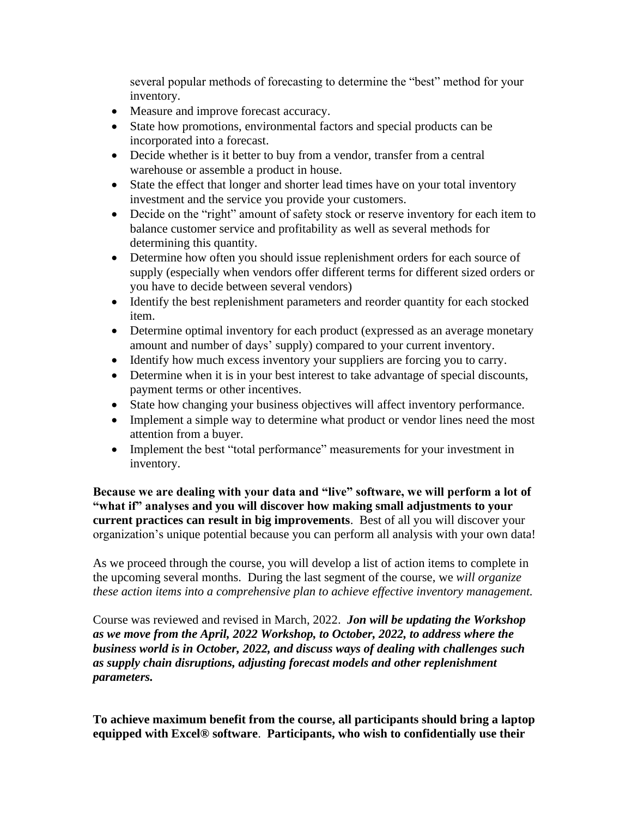several popular methods of forecasting to determine the "best" method for your inventory.

- Measure and improve forecast accuracy.
- State how promotions, environmental factors and special products can be incorporated into a forecast.
- Decide whether is it better to buy from a vendor, transfer from a central warehouse or assemble a product in house.
- State the effect that longer and shorter lead times have on your total inventory investment and the service you provide your customers.
- Decide on the "right" amount of safety stock or reserve inventory for each item to balance customer service and profitability as well as several methods for determining this quantity.
- Determine how often you should issue replenishment orders for each source of supply (especially when vendors offer different terms for different sized orders or you have to decide between several vendors)
- Identify the best replenishment parameters and reorder quantity for each stocked item.
- Determine optimal inventory for each product (expressed as an average monetary amount and number of days' supply) compared to your current inventory.
- Identify how much excess inventory your suppliers are forcing you to carry.
- Determine when it is in your best interest to take advantage of special discounts, payment terms or other incentives.
- State how changing your business objectives will affect inventory performance.
- Implement a simple way to determine what product or vendor lines need the most attention from a buyer.
- Implement the best "total performance" measurements for your investment in inventory.

**Because we are dealing with your data and "live" software, we will perform a lot of "what if" analyses and you will discover how making small adjustments to your current practices can result in big improvements**. Best of all you will discover your organization's unique potential because you can perform all analysis with your own data!

As we proceed through the course, you will develop a list of action items to complete in the upcoming several months. During the last segment of the course, we *will organize these action items into a comprehensive plan to achieve effective inventory management.*

Course was reviewed and revised in March, 2022. *Jon will be updating the Workshop as we move from the April, 2022 Workshop, to October, 2022, to address where the business world is in October, 2022, and discuss ways of dealing with challenges such as supply chain disruptions, adjusting forecast models and other replenishment parameters.*

**To achieve maximum benefit from the course, all participants should bring a laptop equipped with Excel® software**. **Participants, who wish to confidentially use their**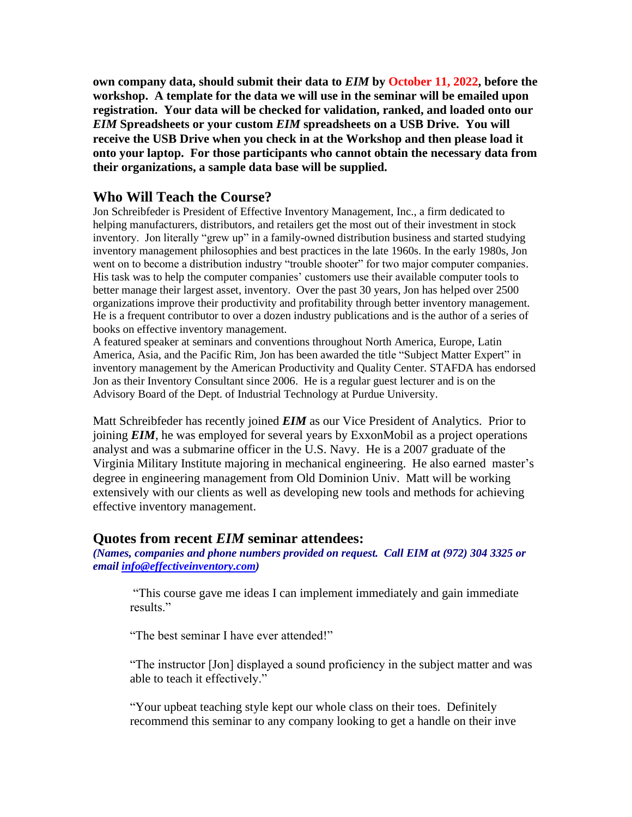**own company data, should submit their data to** *EIM* **by October 11, 2022, before the workshop. A template for the data we will use in the seminar will be emailed upon registration. Your data will be checked for validation, ranked, and loaded onto our**  *EIM* **Spreadsheets or your custom** *EIM* **spreadsheets on a USB Drive. You will receive the USB Drive when you check in at the Workshop and then please load it onto your laptop. For those participants who cannot obtain the necessary data from their organizations, a sample data base will be supplied.**

#### **Who Will Teach the Course?**

Jon Schreibfeder is President of Effective Inventory Management, Inc., a firm dedicated to helping manufacturers, distributors, and retailers get the most out of their investment in stock inventory. Jon literally "grew up" in a family-owned distribution business and started studying inventory management philosophies and best practices in the late 1960s. In the early 1980s, Jon went on to become a distribution industry "trouble shooter" for two major computer companies. His task was to help the computer companies' customers use their available computer tools to better manage their largest asset, inventory. Over the past 30 years, Jon has helped over 2500 organizations improve their productivity and profitability through better inventory management. He is a frequent contributor to over a dozen industry publications and is the author of a series of books on effective inventory management.

A featured speaker at seminars and conventions throughout North America, Europe, Latin America, Asia, and the Pacific Rim, Jon has been awarded the title "Subject Matter Expert" in inventory management by the American Productivity and Quality Center. STAFDA has endorsed Jon as their Inventory Consultant since 2006. He is a regular guest lecturer and is on the Advisory Board of the Dept. of Industrial Technology at Purdue University.

Matt Schreibfeder has recently joined *EIM* as our Vice President of Analytics. Prior to joining *EIM*, he was employed for several years by ExxonMobil as a project operations analyst and was a submarine officer in the U.S. Navy. He is a 2007 graduate of the Virginia Military Institute majoring in mechanical engineering. He also earned master's degree in engineering management from Old Dominion Univ. Matt will be working extensively with our clients as well as developing new tools and methods for achieving effective inventory management.

#### **Quotes from recent** *EIM* **seminar attendees:**

*(Names, companies and phone numbers provided on request. Call EIM at (972) 304 3325 or email [info@effectiveinventory.com\)](mailto:info@effectiveinventory.com)*

"This course gave me ideas I can implement immediately and gain immediate results."

"The best seminar I have ever attended!"

"The instructor [Jon] displayed a sound proficiency in the subject matter and was able to teach it effectively."

"Your upbeat teaching style kept our whole class on their toes. Definitely recommend this seminar to any company looking to get a handle on their inve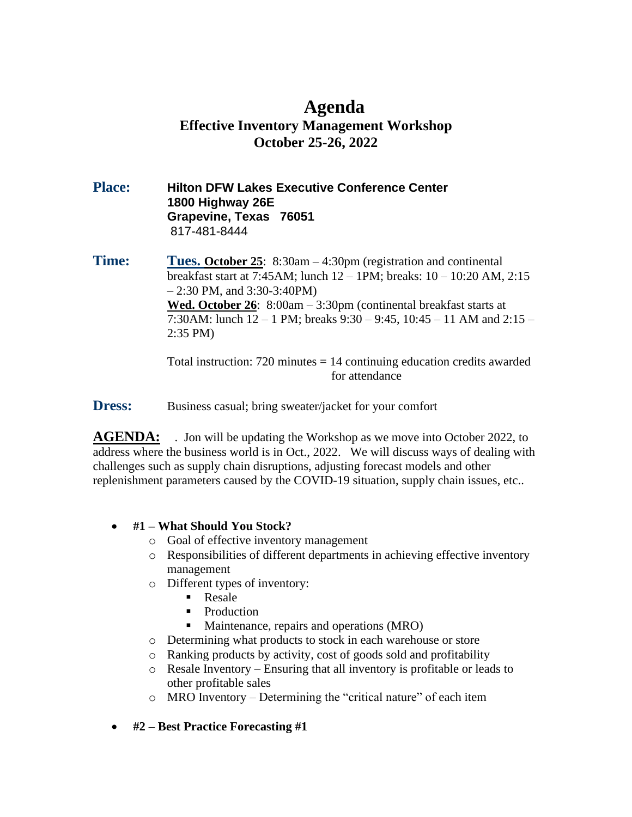### **Agenda Effective Inventory Management Workshop October 25-26, 2022**

#### **Place: Hilton DFW Lakes Executive Conference Center 1800 Highway 26E Grapevine, Texas 76051** 817-481-8444

**Time:** Tues. October 25: 8:30am – 4:30pm (registration and continental breakfast start at 7:45AM; lunch 12 – 1PM; breaks: 10 – 10:20 AM, 2:15  $-2:30$  PM, and  $3:30-3:40$ PM) **Wed. October 26**: 8:00am – 3:30pm (continental breakfast starts at 7:30AM: lunch 12 – 1 PM; breaks 9:30 – 9:45, 10:45 – 11 AM and 2:15 – 2:35 PM)

> Total instruction:  $720$  minutes  $= 14$  continuing education credits awarded for attendance

**Dress:** Business casual; bring sweater/jacket for your comfort

**AGENDA:** . Jon will be updating the Workshop as we move into October 2022, to address where the business world is in Oct., 2022. We will discuss ways of dealing with challenges such as supply chain disruptions, adjusting forecast models and other replenishment parameters caused by the COVID-19 situation, supply chain issues, etc..

#### • **#1 – What Should You Stock?**

- o Goal of effective inventory management
- o Responsibilities of different departments in achieving effective inventory management
- o Different types of inventory:
	- Resale
	- **•** Production
	- Maintenance, repairs and operations (MRO)
- o Determining what products to stock in each warehouse or store
- o Ranking products by activity, cost of goods sold and profitability
- o Resale Inventory Ensuring that all inventory is profitable or leads to other profitable sales
- o MRO Inventory Determining the "critical nature" of each item
- **#2 – Best Practice Forecasting #1**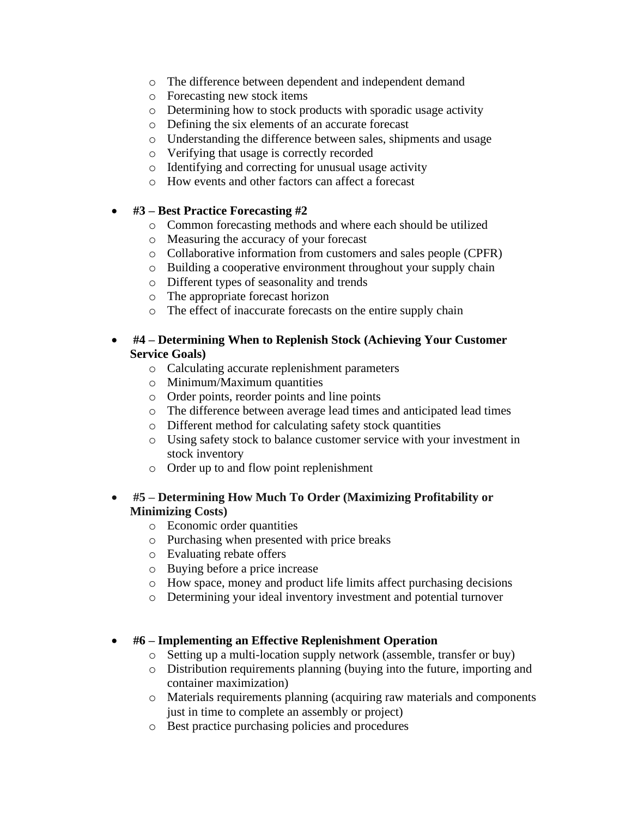- o The difference between dependent and independent demand
- o Forecasting new stock items
- o Determining how to stock products with sporadic usage activity
- o Defining the six elements of an accurate forecast
- o Understanding the difference between sales, shipments and usage
- o Verifying that usage is correctly recorded
- o Identifying and correcting for unusual usage activity
- o How events and other factors can affect a forecast

#### • **#3 – Best Practice Forecasting #2**

- o Common forecasting methods and where each should be utilized
- o Measuring the accuracy of your forecast
- o Collaborative information from customers and sales people (CPFR)
- o Building a cooperative environment throughout your supply chain
- o Different types of seasonality and trends
- o The appropriate forecast horizon
- o The effect of inaccurate forecasts on the entire supply chain

#### • **#4 – Determining When to Replenish Stock (Achieving Your Customer Service Goals)**

- o Calculating accurate replenishment parameters
- o Minimum/Maximum quantities
- o Order points, reorder points and line points
- o The difference between average lead times and anticipated lead times
- o Different method for calculating safety stock quantities
- o Using safety stock to balance customer service with your investment in stock inventory
- o Order up to and flow point replenishment

#### • **#5 – Determining How Much To Order (Maximizing Profitability or Minimizing Costs)**

- o Economic order quantities
- o Purchasing when presented with price breaks
- o Evaluating rebate offers
- o Buying before a price increase
- o How space, money and product life limits affect purchasing decisions
- o Determining your ideal inventory investment and potential turnover

#### • **#6 – Implementing an Effective Replenishment Operation**

- o Setting up a multi-location supply network (assemble, transfer or buy)
- o Distribution requirements planning (buying into the future, importing and container maximization)
- o Materials requirements planning (acquiring raw materials and components just in time to complete an assembly or project)
- o Best practice purchasing policies and procedures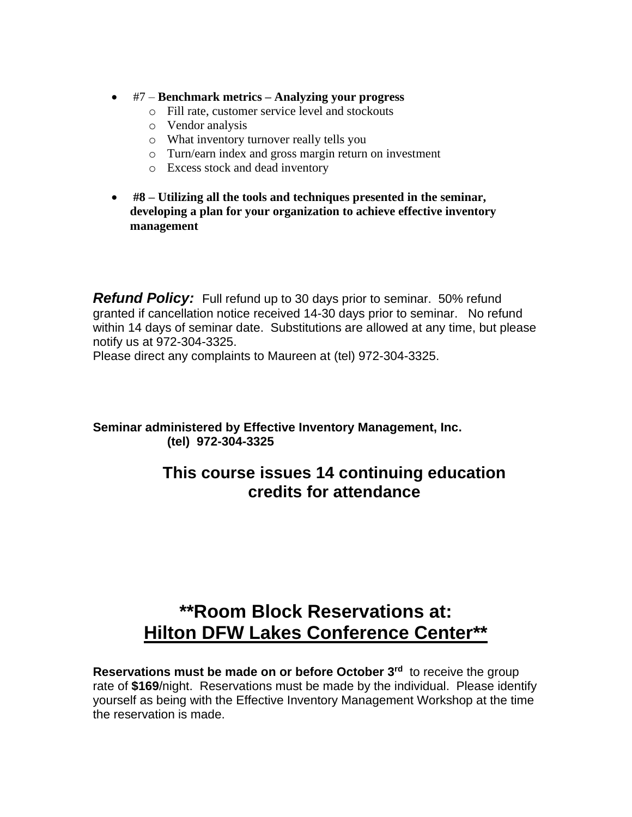- #7 **Benchmark metrics – Analyzing your progress**
	- o Fill rate, customer service level and stockouts
	- o Vendor analysis
	- o What inventory turnover really tells you
	- o Turn/earn index and gross margin return on investment
	- o Excess stock and dead inventory
- **#8 – Utilizing all the tools and techniques presented in the seminar, developing a plan for your organization to achieve effective inventory management**

*Refund Policy:* Full refund up to 30 days prior to seminar. 50% refund granted if cancellation notice received 14-30 days prior to seminar. No refund within 14 days of seminar date. Substitutions are allowed at any time, but please notify us at 972-304-3325.

Please direct any complaints to Maureen at (tel) 972-304-3325.

**Seminar administered by Effective Inventory Management, Inc. (tel) 972-304-3325**

## **This course issues 14 continuing education credits for attendance**

# **\*\*Room Block Reservations at: Hilton DFW Lakes Conference Center\*\***

**Reservations must be made on or before October 3 rd** to receive the group rate of **\$169**/night. Reservations must be made by the individual. Please identify yourself as being with the Effective Inventory Management Workshop at the time the reservation is made.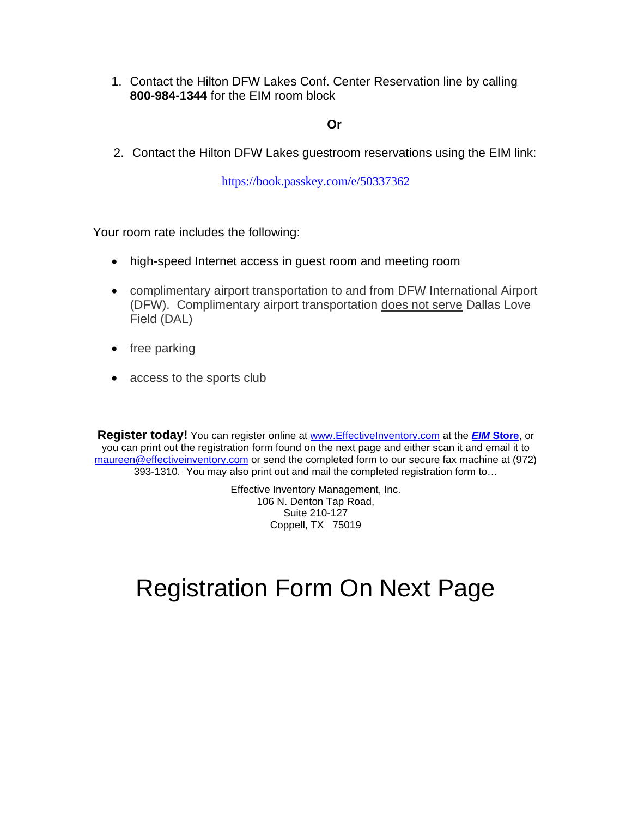1. Contact the Hilton DFW Lakes Conf. Center Reservation line by calling **800-984-1344** for the EIM room block

#### **Or**

2. Contact the Hilton DFW Lakes guestroom reservations using the EIM link:

[https://book.passkey.com/e/50337362](https://book.passkey.com/e/50337362?utm_source=73802&utm_medium=email&utm_campaign=289408729&trkid=551159405&linkid=2639024199)

Your room rate includes the following:

- high-speed Internet access in guest room and meeting room
- complimentary airport transportation to and from DFW International Airport (DFW). Complimentary airport transportation does not serve Dallas Love Field (DAL)
- free parking
- access to the sports club

**Register today!** You can register online at [www.EffectiveInventory.com](http://www.effectiveinventory.com/) at the *EIM* **[Store](http://www.effectiveinventory.com/store.html)**, or you can print out the registration form found on the next page and either scan it and email it to [maureen@effectiveinventory.com](mailto:maureen@effectiveinventory.com) or send the completed form to our secure fax machine at (972) 393-1310. You may also print out and mail the completed registration form to…

> Effective Inventory Management, Inc. 106 N. Denton Tap Road, Suite 210-127 Coppell, TX 75019

# Registration Form On Next Page